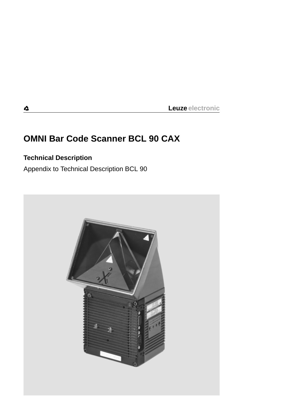# **OMNI Bar Code Scanner BCL 90 CAX**

# **Technical Description**

Appendix to Technical Description BCL 90



4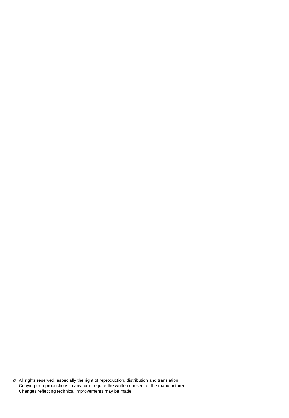© All rights reserved, especially the right of reproduction, distribution and translation. Copying or reproductions in any form require the written consent of the manufacturer. Changes reflecting technical improvements may be made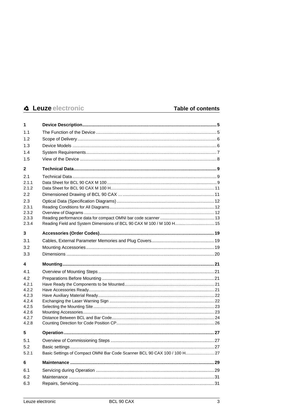| 1              |                                                                           |  |
|----------------|---------------------------------------------------------------------------|--|
| 1.1            |                                                                           |  |
| 1.2            |                                                                           |  |
| 1.3            |                                                                           |  |
| 1.4            |                                                                           |  |
| 1.5            |                                                                           |  |
| $\mathbf{2}$   |                                                                           |  |
| 2.1            |                                                                           |  |
| 2.1.1          |                                                                           |  |
| 2.1.2          |                                                                           |  |
| 2.2            |                                                                           |  |
| 2.3            |                                                                           |  |
| 2.3.1          |                                                                           |  |
| 2.3.2          |                                                                           |  |
| 2.3.3          |                                                                           |  |
| 2.3.4          | Reading Field and System Dimensions of BCL 90 CAX M 100 / M 100 H 15      |  |
| 3              |                                                                           |  |
| 3.1            |                                                                           |  |
| 3.2            |                                                                           |  |
| 3.3            |                                                                           |  |
| 4              |                                                                           |  |
| 4.1            |                                                                           |  |
| 4.2            |                                                                           |  |
| 4.2.1          |                                                                           |  |
| 4.2.2          |                                                                           |  |
| 4.2.3          |                                                                           |  |
| 4.2.4<br>4.2.5 |                                                                           |  |
|                |                                                                           |  |
|                |                                                                           |  |
| 4.2.6<br>4.2.7 |                                                                           |  |
| 4.2.8          |                                                                           |  |
| 5              |                                                                           |  |
| 5.1            |                                                                           |  |
| 5.2            |                                                                           |  |
| 5.2.1          | Basic Settings of Compact OMNI Bar Code Scanner BCL 90 CAX 100 / 100 H 27 |  |
| 6              |                                                                           |  |
| 6.1            |                                                                           |  |
| 6.2            |                                                                           |  |
| 6.3            |                                                                           |  |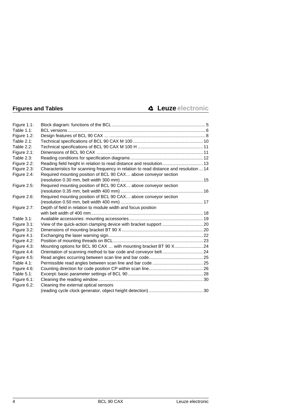| Figure 1.1:   |                                                                                        |  |
|---------------|----------------------------------------------------------------------------------------|--|
| Table 1.1:    |                                                                                        |  |
| Figure 1.2:   |                                                                                        |  |
| Table 2.1:    |                                                                                        |  |
| Table 2.2:    |                                                                                        |  |
| Figure 2.1:   |                                                                                        |  |
| Table 2.3:    |                                                                                        |  |
| Figure 2.2:   | Reading field height in relation to read distance and resolution 13                    |  |
| Figure 2.3:   | Characteristics for scanning frequency in relation to read distance and resolution  14 |  |
| Figure 2.4:   | Required mounting position of BCL 90 CAX above conveyor section                        |  |
|               |                                                                                        |  |
| Figure 2.5:   | Required mounting position of BCL 90 CAX above conveyor section                        |  |
|               |                                                                                        |  |
| Figure 2.6:   | Required mounting position of BCL 90 CAX above conveyor section                        |  |
|               |                                                                                        |  |
| Figure 2.7:   | Depth of field in relation to module width and focus position                          |  |
|               |                                                                                        |  |
| Table 3.1:    |                                                                                        |  |
| Figure 3.1:   |                                                                                        |  |
| Figure 3.2:   |                                                                                        |  |
| Figure 4.1:   |                                                                                        |  |
| Figure 4.2:   |                                                                                        |  |
| Figure 4.3:   | Mounting options for BCL 90 CAX  with mounting bracket BT 90 X 24                      |  |
| Figure 4.4:   | Orientation of scanning method to bar code and conveyor belt 24                        |  |
| Figure 4.5:   |                                                                                        |  |
| Table $4.1$ : |                                                                                        |  |
| Figure 4.6:   |                                                                                        |  |
| Table $5.1$ : |                                                                                        |  |
| Figure 6.1:   |                                                                                        |  |
| Figure 6.2:   | Cleaning the external optical sensors                                                  |  |
|               |                                                                                        |  |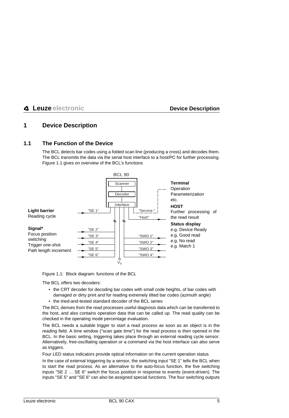# <span id="page-4-0"></span>**1 Device Description**

# <span id="page-4-1"></span>**1.1 The Function of the Device**

The BCL detects bar codes using a folded scan line (producing a cross) and decodes them. The BCL transmits the data via the serial host interface to a host/PC for further processing. [Figure 1.1](#page-4-2) gives on overview of the BCL's functions



<span id="page-4-2"></span>Figure 1.1: Block diagram: functions of the BCL

The BCL offers two decoders:

- the CRT decoder for decoding bar codes with small code heights, of bar codes with damaged or dirty print and for reading extremely tilted bar codes (azimuth angle)
- the tried-and-tested standard decoder of the BCL series

The BCL derives from the read processes useful diagnosis data which can be transferred to the host, and also contains operation data that can be called up. The read quality can be checked in the operating mode percentage evaluation.

The BCL needs a suitable trigger to start a read process as soon as an object is in the reading field. A time window ("scan gate time") for the read process is then opened in the BCL. In the basic setting, triggering takes place through an external reading cycle sensor. Alternatively, free-oscillating operation or a command via the host interface can also serve as triggers.

Four LED status indicators provide optical information on the current operation status.

In the case of external triggering by a sensor, the switching input "SE 1" tells the BCL when to start the read process. As an alternative to the auto-focus function, the five switching inputs "SE 2 … SE 6" switch the focus position in response to events (event-driven). The inputs "SE 5" and "SE 6" can also be assigned special functions. The four switching outputs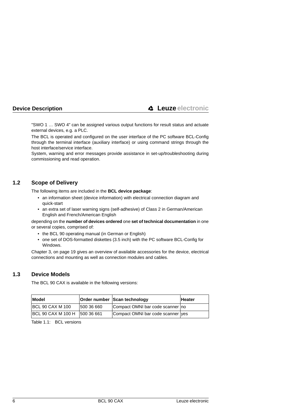"SWO 1 … SWO 4" can be assigned various output functions for result status and actuate external devices, e.g. a PLC.

The BCL is operated and configured on the user interface of the PC software BCL-Config through the terminal interface (auxiliary interface) or using command strings through the host interface/service interface.

System, warning and error messages provide assistance in set-up/troubleshooting during commissioning and read operation.

# <span id="page-5-0"></span>**1.2 Scope of Delivery**

The following items are included in the **BCL device package**:

- an information sheet (device information) with electrical connection diagram and quick-start
- an extra set of laser warning signs (self-adhesive) of Class 2 in German/American English and French/American English

depending on the **number of devices ordered** one **set of technical documentation** in one or several copies, comprised of:

- the BCL 90 operating manual (in German or English)
- one set of DOS-formatted diskettes (3.5 inch) with the PC software BCL-Config for Windows.

[Chapter 3, on page 19](#page-18-0) gives an overview of available accessories for the device, electrical connections and mounting as well as connection modules and cables.

# <span id="page-5-1"></span>**1.3 Device Models**

The BCL 90 CAX is available in the following versions:

| Model                         |            | Order number Scan technology      | <b>Heater</b> |
|-------------------------------|------------|-----------------------------------|---------------|
| <b>BCL 90 CAX M 100</b>       | 500 36 660 | Compact OMNI bar code scanner no  |               |
| BCL 90 CAX M 100 H 500 36 661 |            | Compact OMNI bar code scanner yes |               |

<span id="page-5-2"></span>Table  $1.1$ : BCL versions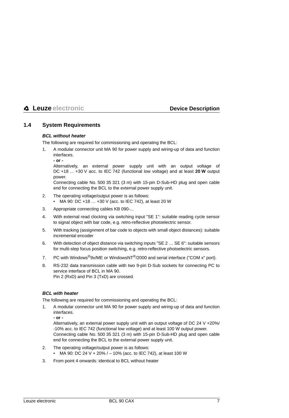# <span id="page-6-0"></span>**1.4 System Requirements**

#### **BCL without heater**

The following are required for commissioning and operating the BCL:

- 1. A modular connector unit MA 90 for power supply and wiring-up of data and function interfaces.
	- **or -**

Alternatively, an external power supply unit with an output voltage of DC +18 … +30 V acc. to IEC 742 (functional low voltage) and at least **20 W** output power.

Connecting cable No. 500 35 321 (3 m) with 15-pin D-Sub-HD plug and open cable end for connecting the BCL to the external power supply unit.

- 2. The operating voltage/output power is as follows:
	- MA 90: DC +18 … +30 V (acc. to IEC 742), at least 20 W
- 3. Appropriate connecting cables KB 090-...
- 4. With external read clocking via switching input "SE 1": suitable reading cycle sensor to signal object with bar code, e.g. retro-reflective photoelectric sensor.
- 5. With tracking (assignment of bar code to objects with small object distances): suitable incremental encoder
- 6. With detection of object distance via switching inputs "SE 2 … SE 6": suitable sensors for multi-step focus position switching, e.g. retro-reflective photoelectric sensors.
- 7. PC with Windows $^{\circledR}$ 9x/ME or WindowsNT $^{\circledR}$ /2000 and serial interface ("COM x" port).
- 8. RS-232 data transmission cable with two 9-pin D-Sub sockets for connecting PC to service interface of BCL in MA 90. Pin 2 (RxD) and Pin 3 (TxD) are crossed.

#### **BCL with heater**

The following are required for commissioning and operating the BCL:

1. A modular connector unit MA 90 for power supply and wiring-up of data and function interfaces.

**- or -**

Alternatively, an external power supply unit with an output voltage of DC 24 V +20%/ -10% acc. to IEC 742 (functional low voltage) and at least 100 W output power. Connecting cable No. 500 35 321 (3 m) with 15-pin D-Sub-HD plug and open cable end for connecting the BCL to the external power supply unit.

- 2. The operating voltage/output power is as follows:
	- MA 90: DC 24 V + 20% /  $-$  10% (acc. to IEC 742), at least 100 W
- 3. From point 4 onwards: identical to BCL without heater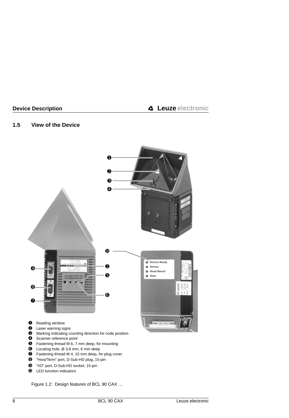# <span id="page-7-0"></span>**1.5 View of the Device**



- Laser warning signs
- Marking indicating counting direction for code position
- Scanner reference point
- Fastening thread M 6, 7 mm deep, for mounting
- Locating hole, Ø 3,6 mm, 6 mm deep
- Fastening thread M 4, 10 mm deep, for plug cover
- "Host/Term" port, D-Sub-HD plug, 15-pin
- "I/O" port, D-Sub-HD socket, 15-pin
- LED function indicators

<span id="page-7-1"></span>Figure 1.2: Design features of BCL 90 CAX …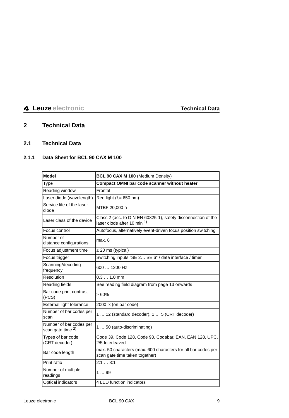# <span id="page-8-0"></span>**2 Technical Data**

# <span id="page-8-1"></span>**2.1 Technical Data**

# <span id="page-8-2"></span>**2.1.1 Data Sheet for BCL 90 CAX M 100**

| <b>Model</b>                                            | BCL 90 CAX M 100 (Medium Density)                                                               |
|---------------------------------------------------------|-------------------------------------------------------------------------------------------------|
| Type                                                    | Compact OMNI bar code scanner without heater                                                    |
| Reading window                                          | Frontal                                                                                         |
| Laser diode (wavelength)                                | Red light $(\lambda = 650 \text{ nm})$                                                          |
| Service life of the laser<br>diode                      | MTBF 20,000 h                                                                                   |
| Laser class of the device                               | Class 2 (acc. to DIN EN 60825-1), safety disconnection of the<br>laser diode after 10 min 1)    |
| Focus control                                           | Autofocus, alternatively event-driven focus position switching                                  |
| Number of<br>distance configurations                    | max. 8                                                                                          |
| Focus adjustment time                                   | $\leq$ 20 ms (typical)                                                                          |
| Focus trigger                                           | Switching inputs "SE 2 SE 6" / data interface / timer                                           |
| Scanning/decoding<br>frequency                          | 600  1200 Hz                                                                                    |
| Resolution                                              | $0.31.0$ mm                                                                                     |
| Reading fields                                          | See reading field diagram from page 13 onwards                                                  |
| Bar code print contrast<br>(PCS)                        | >60%                                                                                            |
| External light tolerance                                | 2000 lx (on bar code)                                                                           |
| Number of bar codes per<br>scan                         | 1  12 (standard decoder), 1  5 (CRT decoder)                                                    |
| Number of bar codes per<br>scan gate time <sup>2)</sup> | 1  50 (auto-discriminating)                                                                     |
| Types of bar code<br>(CRT decoder)                      | Code 39, Code 128, Code 93, Codabar, EAN, EAN 128, UPC,<br>2/5 Interleaved                      |
| Bar code length                                         | max. 50 characters (max. 600 characters for all bar codes per<br>scan gate time taken together) |
| Print ratio                                             | 2:13:1                                                                                          |
| Number of multiple<br>readings                          | 199                                                                                             |
| Optical indicators                                      | 4 LED function indicators                                                                       |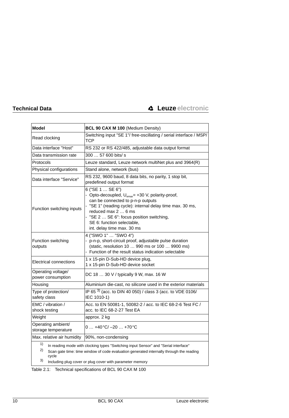| <b>Model</b>                                                                              | BCL 90 CAX M 100 (Medium Density)                                                                                                                                                                                                                                                                              |  |
|-------------------------------------------------------------------------------------------|----------------------------------------------------------------------------------------------------------------------------------------------------------------------------------------------------------------------------------------------------------------------------------------------------------------|--|
| Read clocking                                                                             | Switching input "SE 1"/ free-oscillating / serial interface / MSP/<br>TCP                                                                                                                                                                                                                                      |  |
| Data interface "Host"                                                                     | RS 232 or RS 422/485, adjustable data output format                                                                                                                                                                                                                                                            |  |
| Data transmission rate                                                                    | 300  57 600 bits/ s                                                                                                                                                                                                                                                                                            |  |
| Protocols                                                                                 | Leuze standard, Leuze network multiNet plus and 3964(R)                                                                                                                                                                                                                                                        |  |
| Physical configurations                                                                   | Stand alone, network (bus)                                                                                                                                                                                                                                                                                     |  |
| Data interface "Service"                                                                  | RS 232, 9600 baud, 8 data bits, no parity, 1 stop bit,<br>predefined output format                                                                                                                                                                                                                             |  |
| Function switching inputs                                                                 | 6 ("SE 1  SE 6")<br>- Opto-decoupled, U <sub>emax</sub> = +30 V, polarity-proof,<br>can be connected to p-n-p outputs<br>"SE 1" (reading cycle): internal delay time max. 30 ms,<br>reduced max 2  6 ms<br>"SE 2  SE 6": focus position switching,<br>SE 6: function selectable,<br>int. delay time max. 30 ms |  |
| Function switching<br>outputs                                                             | 4 ("SWO 1"  "SWO 4")<br>p-n-p, short-circuit proof, adjustable pulse duration<br>(static, resolution 10  990 ms or 100  9900 ms)<br>- Function of the result status indication selectable                                                                                                                      |  |
| Electrical connections                                                                    | 1 x 15-pin D-Sub-HD device plug,<br>1 x 15-pin D-Sub-HD device socket                                                                                                                                                                                                                                          |  |
| Operating voltage/<br>power consumption                                                   | DC 18  30 V / typically 9 W, max. 16 W                                                                                                                                                                                                                                                                         |  |
| Housing                                                                                   | Aluminium die-cast, no silicone used in the exterior materials                                                                                                                                                                                                                                                 |  |
| Type of protection/<br>safety class                                                       | IP 65 3) (acc. to DIN 40 050) / class 3 (acc. to VDE 0106/<br>IEC 1010-1)                                                                                                                                                                                                                                      |  |
| EMC / vibration /<br>shock testing                                                        | Acc. to EN 50081-1, 50082-2 / acc. to IEC 68-2-6 Test FC /<br>acc. to IEC 68-2-27 Test EA                                                                                                                                                                                                                      |  |
| Weight                                                                                    | approx. 2 kg                                                                                                                                                                                                                                                                                                   |  |
| Operating ambient/<br>storage temperature                                                 | $0+40°C/-20+70°C$                                                                                                                                                                                                                                                                                              |  |
| Max. relative air humidity                                                                | 90%, non-condensing                                                                                                                                                                                                                                                                                            |  |
| 1)<br>In reading mode with algebing types "Pwitching input Censor" and "Periol interface" |                                                                                                                                                                                                                                                                                                                |  |

In reading mode with clocking types "Switching input Sensor" and "Serial interface'

2) Scan gate time: time window of code evaluation generated internally through the reading cycle

3) Including plug cover or plug cover with parameter memory

<span id="page-9-0"></span>Table 2.1: Technical specifications of BCL 90 CAX M 100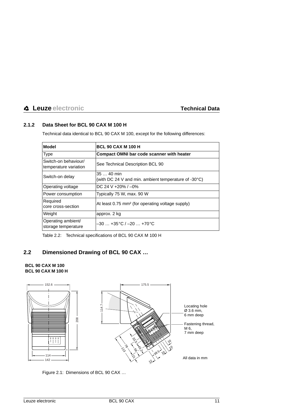# <span id="page-10-0"></span>**2.1.2 Data Sheet for BCL 90 CAX M 100 H**

Technical data identical to BCL 90 CAX M 100, except for the following differences:

| <b>Model</b>                                  | <b>BCL 90 CAX M 100 H</b>                                          |
|-----------------------------------------------|--------------------------------------------------------------------|
| <b>Type</b>                                   | <b>Compact OMNI bar code scanner with heater</b>                   |
| Switch-on behaviour/<br>temperature variation | See Technical Description BCL 90                                   |
| Switch-on delay                               | $3540$ min<br>(with DC 24 V and min. ambient temperature of -30°C) |
| Operating voltage                             | DC 24 V +20% / $-0\%$                                              |
| Power consumption                             | Typically 75 W, max. 90 W                                          |
| Required<br>core cross-section                | At least 0.75 mm <sup>2</sup> (for operating voltage supply)       |
| Weight                                        | approx. 2 kg                                                       |
| Operating ambient/<br>storage temperature     | $-30+35$ °C / $-20+70$ °C                                          |

<span id="page-10-2"></span>Table 2.2: Technical specifications of BCL 90 CAX M 100 H

# <span id="page-10-1"></span>**2.2 Dimensioned Drawing of BCL 90 CAX …**

#### **BCL 90 CAX M 100 BCL 90 CAX M 100 H**



<span id="page-10-3"></span>Figure 2.1: Dimensions of BCL 90 CAX …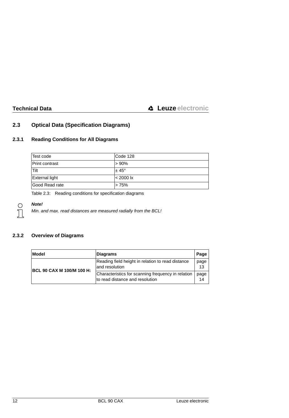# <span id="page-11-0"></span>**2.3 Optical Data (Specification Diagrams)**

# <span id="page-11-1"></span>**2.3.1 Reading Conditions for All Diagrams**

| Test code             | Code 128            |
|-----------------------|---------------------|
| <b>Print contrast</b> | >90%                |
| <b>Tilt</b>           | $± 45^{\circ}$      |
| <b>External light</b> | $< 2000 \text{ lx}$ |
| Good Read rate        | > 75%               |

<span id="page-11-3"></span>Table 2.3: Reading conditions for specification diagrams

#### **Note!**

Min. and max. read distances are measured radially from the BCL!

# <span id="page-11-2"></span>**2.3.2 Overview of Diagrams**

| Model                     | Diagrams                                                                              | Page       |
|---------------------------|---------------------------------------------------------------------------------------|------------|
|                           | Reading field height in relation to read distance<br>and resolution                   | page<br>13 |
| BCL 90 CAX M 100/M 100 H: | Characteristics for scanning frequency in relation<br>to read distance and resolution | page<br>14 |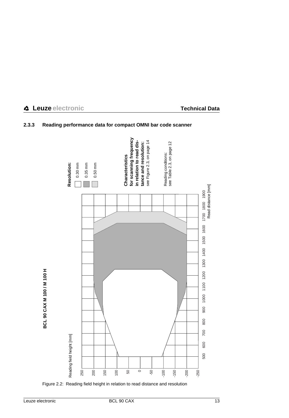

# <span id="page-12-0"></span>**2.3.3 Reading performance data for compact OMNI bar code scanner**

<span id="page-12-1"></span>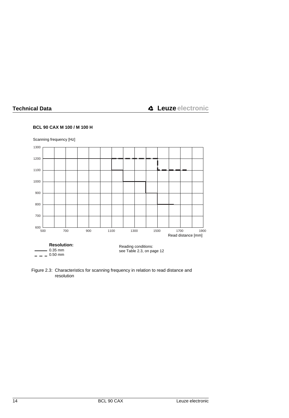#### **BCL 90 CAX M 100 / M 100 H**



<span id="page-13-0"></span>Figure 2.3: Characteristics for scanning frequency in relation to read distance and resolution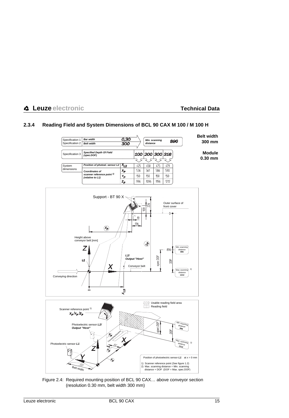# <span id="page-14-0"></span>**2.3.4 Reading Field and System Dimensions of BCL 90 CAX M 100 / M 100 H**



<span id="page-14-1"></span>Figure 2.4: Required mounting position of BCL 90 CAX… above conveyor section (resolution 0.30 mm, belt width 300 mm)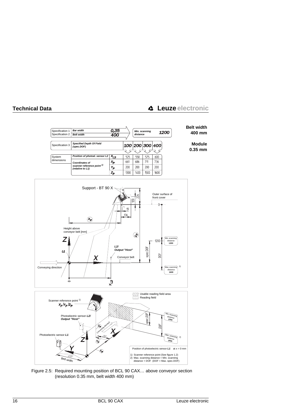

<span id="page-15-0"></span>Figure 2.5: Required mounting position of BCL 90 CAX… above conveyor section (resolution 0.35 mm, belt width 400 mm)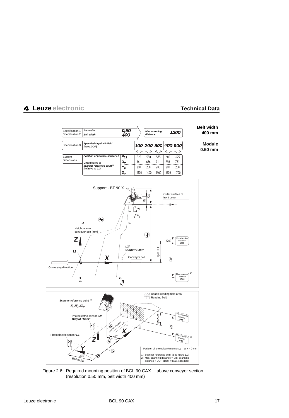

<span id="page-16-0"></span>Figure 2.6: Required mounting position of BCL 90 CAX… above conveyor section (resolution 0.50 mm, belt width 400 mm)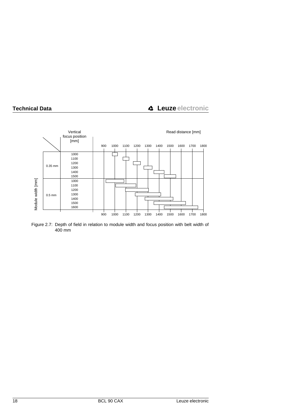

<span id="page-17-0"></span>Figure 2.7: Depth of field in relation to module width and focus position with belt width of 400 mm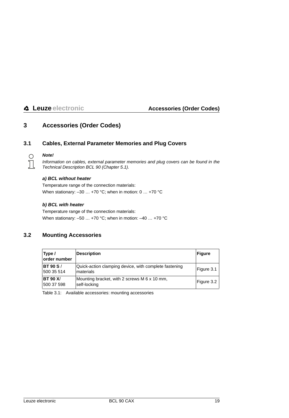# <span id="page-18-0"></span>**3 Accessories (Order Codes)**

### <span id="page-18-1"></span>**3.1 Cables, External Parameter Memories and Plug Covers**



#### **Note!**

Information on cables, external parameter memories and plug covers can be found in the Technical Description BCL 90 (Chapter 5.1).

#### **a) BCL without heater**

Temperature range of the connection materials: When stationary:  $-30$  ... +70 °C; when in motion:  $0$  ... +70 °C

#### **b) BCL with heater**

Temperature range of the connection materials: When stationary: –50 … +70 °C; when in motion: –40 … +70 °C

# <span id="page-18-2"></span>**3.2 Mounting Accessories**

| Type /<br>lorder number        | <b>Description</b>                                                 | Figure     |
|--------------------------------|--------------------------------------------------------------------|------------|
| <b>BT 90 S /</b><br>500 35 514 | Quick-action clamping device, with complete fastening<br>materials | Figure 3.1 |
| <b>BT 90 X/</b><br>500 37 598  | Mounting bracket, with 2 screws M 6 x 10 mm,<br>self-locking       | Figure 3.2 |

<span id="page-18-3"></span>Table 3.1: Available accessories: mounting accessories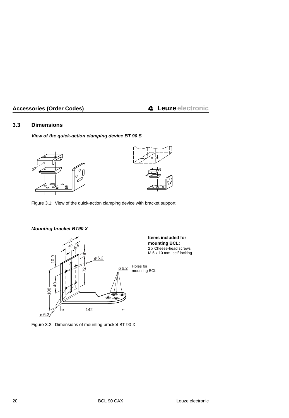# <span id="page-19-0"></span>**3.3 Dimensions**

# **View of the quick-action clamping device BT 90 S**



<span id="page-19-1"></span>Figure 3.1: View of the quick-action clamping device with bracket support

### **Mounting bracket BT90 X**



**Items included for mounting BCL:** 2 x Cheese-head screws M 6 x 10 mm, self-locking

<span id="page-19-2"></span>Figure 3.2: Dimensions of mounting bracket BT 90 X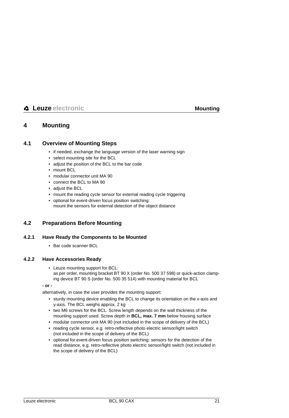# <span id="page-20-0"></span>**4 Mounting**

# <span id="page-20-1"></span>**4.1 Overview of Mounting Steps**

- if needed, exchange the language version of the laser warning sign
- select mounting site for the BCL
- adjust the position of the BCL to the bar code
- mount BCL
- modular connector unit MA 90
- connect the BCL to MA 90
- adiust the BCL
- mount the reading cycle sensor for external reading cycle triggering
- optional for event-driven focus position switching: mount the sensors for external detection of the object distance

# <span id="page-20-2"></span>**4.2 Preparations Before Mounting**

### <span id="page-20-3"></span>**4.2.1 Have Ready the Components to be Mounted**

• Bar code scanner BCL

#### <span id="page-20-4"></span>**4.2.2 Have Accessories Ready**

• Leuze mounting support for BCL: as per order, mounting bracket BT 90 X (order No. 500 37 598) or quick-action clamping device BT 90 S (order No. 500 35 514) with mounting material for BCL

**- or -**

alternatively, in case the user provides the mounting support:

- sturdy mounting device enabling the BCL to change its orientation on the x-axis and y-axis. The BCL weighs approx. 2 kg
- two M6 screws for the BCL. Screw length depends on the wall thickness of the mounting support used. Screw depth in **BCL, max. 7 mm** below housing surface
- modular connector unit MA 90 (not included in the scope of delivery of the BCL)
- reading cycle sensor, e.g. retro-reflective photo electric sensor/light switch (not included in the scope of delivery of the BCL)
- optional for event-driven focus position switching: sensors for the detection of the read distance, e.g. retro-reflective photo electric sensor/light switch (not included in the scope of delivery of the BCL)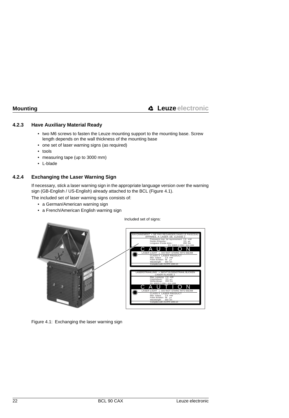# <span id="page-21-0"></span>**4.2.3 Have Auxiliary Material Ready**

- two M6 screws to fasten the Leuze mounting support to the mounting base. Screw length depends on the wall thickness of the mounting base
- one set of laser warning signs (as required)
- tools
- measuring tape (up to 3000 mm)
- L-blade

# <span id="page-21-1"></span>**4.2.4 Exchanging the Laser Warning Sign**

If necessary, stick a laser warning sign in the appropriate language version over the warning sign (GB-English / US-English) already attached to the BCL [\(Figure 4.1](#page-21-2)).

The included set of laser warning signs consists of:

- a German/American warning sign
- a French/American English warning sign

<span id="page-21-2"></span>

Figure 4.1: Exchanging the laser warning sign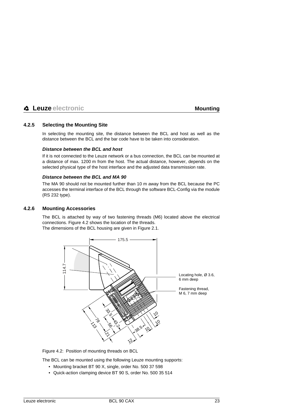# <span id="page-22-0"></span>**4.2.5 Selecting the Mounting Site**

In selecting the mounting site, the distance between the BCL and host as well as the distance between the BCL and the bar code have to be taken into consideration.

#### **Distance between the BCL and host**

If it is not connected to the Leuze network or a bus connection, the BCL can be mounted at a distance of max. 1200 m from the host. The actual distance, however, depends on the selected physical type of the host interface and the adjusted data transmission rate.

#### **Distance between the BCL and MA 90**

The MA 90 should not be mounted further than 10 m away from the BCL because the PC accesses the terminal interface of the BCL through the software BCL-Config via the module (RS 232 type).

### <span id="page-22-1"></span>**4.2.6 Mounting Accessories**

The BCL is attached by way of two fastening threads (M6) located above the electrical connections. [Figure 4.2](#page-22-2) shows the location of the threads.

The dimensions of the BCL housing are given in [Figure 2.1.](#page-10-3)



<span id="page-22-2"></span>Figure 4.2: Position of mounting threads on BCL

The BCL can be mounted using the following Leuze mounting supports:

- Mounting bracket BT 90 X, single, order No. 500 37 598
- Quick-action clamping device BT 90 S, order No. 500 35 514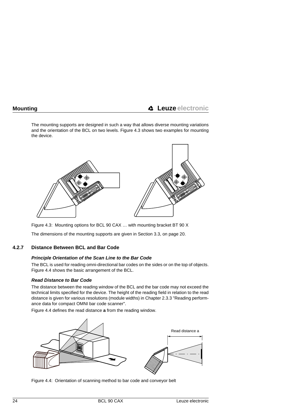The mounting supports are designed in such a way that allows diverse mounting variations and the orientation of the BCL on two levels. [Figure 4.3](#page-23-1) shows two examples for mounting the device.



<span id="page-23-1"></span>Figure 4.3: Mounting options for BCL 90 CAX … with mounting bracket BT 90 X

The dimensions of the mounting supports are given in [Section 3.3, on page 20.](#page-19-0)

# <span id="page-23-0"></span>**4.2.7 Distance Between BCL and Bar Code**

#### **Principle Orientation of the Scan Line to the Bar Code**

The BCL is used for reading omni-directional bar codes on the sides or on the top of objects. [Figure 4.4](#page-23-2) shows the basic arrangement of the BCL.

### **Read Distance to Bar Code**

The distance between the reading window of the BCL and the bar code may not exceed the technical limits specified for the device. The height of the reading field in relation to the read distance is given for various resolutions (module widths) in [Chapter 2.3.3 "Reading perform](#page-12-0)[ance data for compact OMNI bar code scanner".](#page-12-0)

[Figure 4.4](#page-23-2) defines the read distance **a** from the reading window.



<span id="page-23-2"></span>Figure 4.4: Orientation of scanning method to bar code and conveyor belt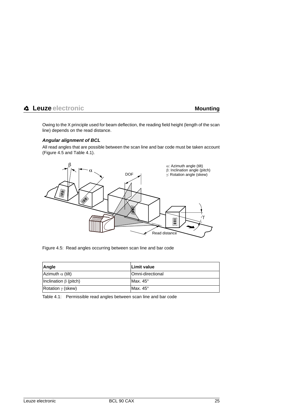Owing to the X principle used for beam deflection, the reading field height (length of the scan line) depends on the read distance.

#### **Angular alignment of BCL**

All read angles that are possible between the scan line and bar code must be taken account [\(Figure 4.5](#page-24-0) and [Table 4.1](#page-24-1)).



<span id="page-24-0"></span>Figure 4.5: Read angles occurring between scan line and bar code

| Angle                       | Limit value      |
|-----------------------------|------------------|
| Azimuth $\alpha$ (tilt)     | Omni-directional |
| Inclination $\beta$ (pitch) | Max. $45^\circ$  |
| Rotation $\gamma$ (skew)    | Max. $45^\circ$  |

<span id="page-24-1"></span>Table 4.1: Permissible read angles between scan line and bar code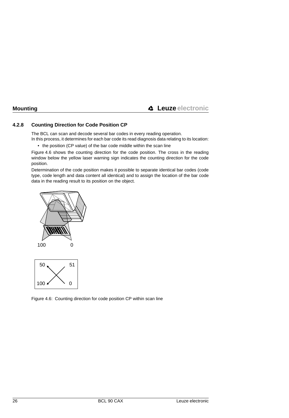# <span id="page-25-0"></span>**4.2.8 Counting Direction for Code Position CP**

The BCL can scan and decode several bar codes in every reading operation.

In this process, it determines for each bar code its read diagnosis data relating to its location:

• the position (CP value) of the bar code middle within the scan line

[Figure 4.6](#page-25-1) shows the counting direction for the code position. The cross in the reading window below the yellow laser warning sign indicates the counting direction for the code position.

Determination of the code position makes it possible to separate identical bar codes (code type, code length and data content all identical) and to assign the location of the bar code data in the reading result to its position on the object.





<span id="page-25-1"></span>Figure 4.6: Counting direction for code position CP within scan line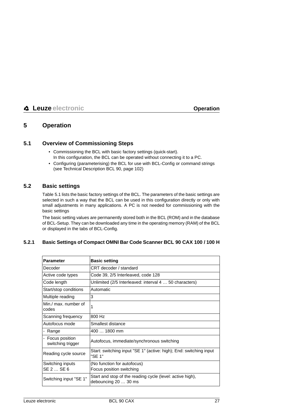# <span id="page-26-0"></span>**5 Operation**

# <span id="page-26-1"></span>**5.1 Overview of Commissioning Steps**

- Commissioning the BCL with basic factory settings (quick-start). In this configuration, the BCL can be operated without connecting it to a PC.
- Configuring (parameterising) the BCL for use with BCL-Config or command strings (see Technical Description BCL 90, page 102)

# <span id="page-26-2"></span>**5.2 Basic settings**

[Table 5.1](#page-27-0) lists the basic factory settings of the BCL. The parameters of the basic settings are selected in such a way that the BCL can be used in this configuration directly or only with small adjustments in many applications. A PC is not needed for commissioning with the basic settings

The basic setting values are permanently stored both in the BCL (ROM) and in the database of BCL-Setup. They can be downloaded any time in the operating memory (RAM) of the BCL or displayed in the tabs of BCL-Config.

# <span id="page-26-3"></span>**5.2.1 Basic Settings of Compact OMNI Bar Code Scanner BCL 90 CAX 100 / 100 H**

| <b>Parameter</b>                      | <b>Basic setting</b>                                                              |
|---------------------------------------|-----------------------------------------------------------------------------------|
| Decoder                               | CRT decoder / standard                                                            |
| Active code types                     | Code 39, 2/5 Interleaved, code 128                                                |
| Code length                           | Unlimited (2/5 Interleaved: interval 4  50 characters)                            |
| Start/stop conditions                 | Automatic                                                                         |
| Multiple reading                      | 3                                                                                 |
| Min./ max. number of<br>codes         |                                                                                   |
| Scanning frequency                    | 800 Hz                                                                            |
| Autofocus mode                        | Smallest distance                                                                 |
| - Range                               | $4001800$ mm                                                                      |
| - Focus position<br>switching trigger | Autofocus, immediate/synchronous switching                                        |
| Reading cycle source                  | Start: switching input "SE 1" (active: high); End: switching input<br>"SE 1"      |
| Switching inputs<br>SE 2  SE 6        | (No function for autofocus)<br>Focus position switching                           |
| Switching input "SE 1"                | Start and stop of the reading cycle (level: active high),<br>debouncing 20  30 ms |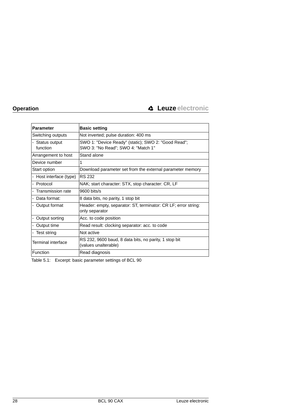| <b>Parameter</b>            | <b>Basic setting</b>                                                                      |
|-----------------------------|-------------------------------------------------------------------------------------------|
| Switching outputs           | Not inverted; pulse duration: 400 ms                                                      |
| - Status output<br>function | SWO 1: "Device Ready" (static); SWO 2: "Good Read";<br>SWO 3: "No Read"; SWO 4: "Match 1" |
| Arrangement to host         | Stand alone                                                                               |
| Device number               |                                                                                           |
| Start option                | Download parameter set from the external parameter memory                                 |
| - Host interface (type)     | RS 232                                                                                    |
| - Protocol                  | NAK; start character: STX, stop character: CR, LF                                         |
| - Transmission rate         | $9600 \; \text{bits/s}$                                                                   |
| - Data format:              | 8 data bits, no parity, 1 stop bit                                                        |
| - Output format             | Header: empty, separator: ST, terminator: CR LF; error string:<br>only separator          |
| - Output sorting            | Acc. to code position                                                                     |
| - Output time               | Read result: clocking separator: acc. to code                                             |
| - Test string               | Not active                                                                                |
| Terminal interface          | RS 232, 9600 baud, 8 data bits, no parity, 1 stop bit<br>(values unalterable)             |
| Function                    | Read diagnosis                                                                            |

<span id="page-27-0"></span>Table 5.1: Excerpt: basic parameter settings of BCL 90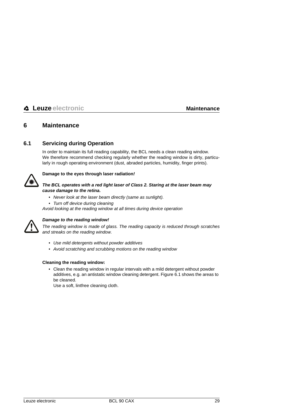# <span id="page-28-0"></span>**6 Maintenance**

# <span id="page-28-1"></span>**6.1 Servicing during Operation**

In order to maintain its full reading capability, the BCL needs a clean reading window. We therefore recommend checking regularly whether the reading window is dirty, particularly in rough operating environment (dust, abraded particles, humidity, finger prints).



#### **Damage to the eyes through laser radiation!**

#### **The BCL operates with a red light laser of Class 2. Staring at the laser beam may cause damage to the retina.**

- Never look at the laser beam directly (same as sunlight).
- Turn off device during cleaning

Avoid looking at the reading window at all times during device operation



#### **Damage to the reading window!**

The reading window is made of glass. The reading capacity is reduced through scratches and streaks on the reading window.

- Use mild detergents without powder additives
- Avoid scratching and scrubbing motions on the reading window

#### **Cleaning the reading window:**

• Clean the reading window in regular intervals with a mild detergent without powder additives, e.g. an antistatic window cleaning detergent. [Figure 6.1](#page-29-0) shows the areas to be cleaned.

Use a soft, lintfree cleaning cloth.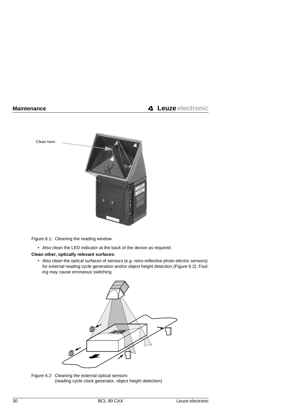

<span id="page-29-0"></span>Figure 6.1: Cleaning the reading window

• Also clean the LED indicator at the back of the device as required.

#### **Clean other, optically relevant surfaces:**

• Also clean the optical surfaces of sensors (e.g. retro-reflective photo electric sensors) for external reading cycle generation and/or object height detection ([Figure 6.2\)](#page-29-1). Fouling may cause erroneous switching.

<span id="page-29-1"></span>

Figure 6.2: Cleaning the external optical sensors (reading cycle clock generator, object height detection)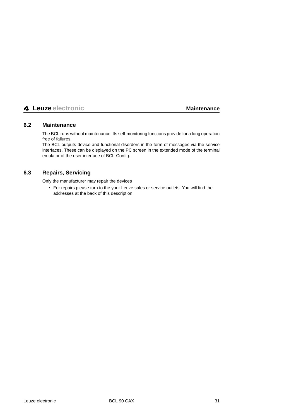# <span id="page-30-0"></span>**6.2 Maintenance**

The BCL runs without maintenance. Its self-monitoring functions provide for a long operation free of failures.

The BCL outputs device and functional disorders in the form of messages via the service interfaces. These can be displayed on the PC screen in the extended mode of the terminal emulator of the user interface of BCL-Config.

# <span id="page-30-1"></span>**6.3 Repairs, Servicing**

Only the manufacturer may repair the devices

• For repairs please turn to the your Leuze sales or service outlets. You will find the addresses at the back of this description